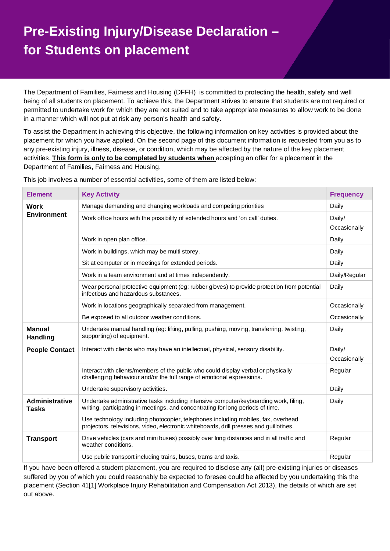## **Pre-Existing Injury/Disease Declaration – for Students on placement**

The Department of Families, Fairness and Housing (DFFH) is committed to protecting the health, safety and well being of all students on placement. To achieve this, the Department strives to ensure that students are not required or permitted to undertake work for which they are not suited and to take appropriate measures to allow work to be done in a manner which will not put at risk any person's health and safety.

To assist the Department in achieving this objective, the following information on key activities is provided about the placement for which you have applied. On the second page of this document information is requested from you as to any pre-existing injury, illness, disease, or condition, which may be affected by the nature of the key placement activities. **This form is only to be completed by students when** accepting an offer for a placement in the Department of Families, Fairness and Housing.

| <b>Element</b>                        | <b>Key Activity</b>                                                                                                                                                         | <b>Frequency</b>       |
|---------------------------------------|-----------------------------------------------------------------------------------------------------------------------------------------------------------------------------|------------------------|
| Work<br><b>Environment</b>            | Manage demanding and changing workloads and competing priorities                                                                                                            | Daily                  |
|                                       | Work office hours with the possibility of extended hours and 'on call' duties.                                                                                              | Daily/<br>Occasionally |
|                                       | Work in open plan office.                                                                                                                                                   | Daily                  |
|                                       | Work in buildings, which may be multi storey.                                                                                                                               | Daily                  |
|                                       | Sit at computer or in meetings for extended periods.                                                                                                                        | Daily                  |
|                                       | Work in a team environment and at times independently.                                                                                                                      | Daily/Regular          |
|                                       | Wear personal protective equipment (eg: rubber gloves) to provide protection from potential<br>infectious and hazardous substances.                                         | Daily                  |
|                                       | Work in locations geographically separated from management.                                                                                                                 | Occasionally           |
|                                       | Be exposed to all outdoor weather conditions.                                                                                                                               | Occasionally           |
| <b>Manual</b><br><b>Handling</b>      | Undertake manual handling (eg: lifting, pulling, pushing, moving, transferring, twisting,<br>supporting) of equipment.                                                      | Daily                  |
| <b>People Contact</b>                 | Interact with clients who may have an intellectual, physical, sensory disability.                                                                                           | Daily/<br>Occasionally |
|                                       | Interact with clients/members of the public who could display verbal or physically<br>challenging behaviour and/or the full range of emotional expressions.                 | Regular                |
|                                       | Undertake supervisory activities.                                                                                                                                           | Daily                  |
| <b>Administrative</b><br><b>Tasks</b> | Undertake administrative tasks including intensive computer/keyboarding work, filing,<br>writing, participating in meetings, and concentrating for long periods of time.    | Daily                  |
|                                       | Use technology including photocopier, telephones including mobiles, fax, overhead<br>projectors, televisions, video, electronic whiteboards, drill presses and guillotines. |                        |
| <b>Transport</b>                      | Drive vehicles (cars and mini buses) possibly over long distances and in all traffic and<br>weather conditions.                                                             | Regular                |
|                                       | Use public transport including trains, buses, trams and taxis.                                                                                                              | Regular                |

This job involves a number of essential activities, some of them are listed below:

If you have been offered a student placement, you are required to disclose any (all) pre-existing injuries or diseases suffered by you of which you could reasonably be expected to foresee could be affected by you undertaking this the placement (Section 41[1] Workplace Injury Rehabilitation and Compensation Act 2013), the details of which are set out above.